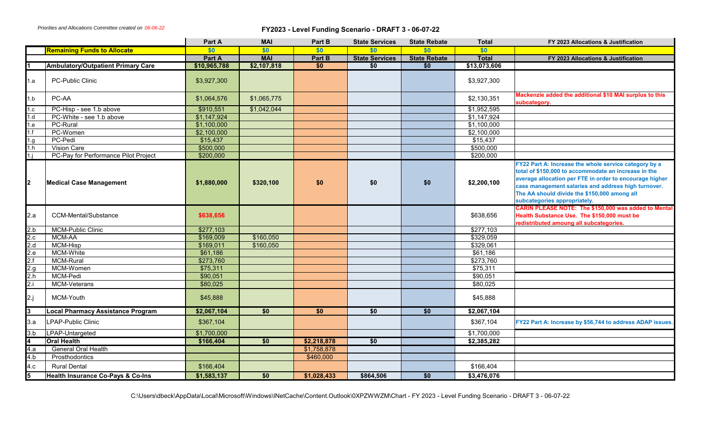*Priorities and Allocations Committee created on 06-06-22*

## **FY2023 - Level Funding Scenario - DRAFT 3 - 06-07-22**

|                         |                                              | Part A       | <b>MAI</b>      | Part B          | <b>State Services</b> | <b>State Rebate</b> | <b>Total</b>        | FY 2023 Allocations & Justification                                                                                                                                                                                                                                                                             |
|-------------------------|----------------------------------------------|--------------|-----------------|-----------------|-----------------------|---------------------|---------------------|-----------------------------------------------------------------------------------------------------------------------------------------------------------------------------------------------------------------------------------------------------------------------------------------------------------------|
|                         | <b>Remaining Funds to Allocate</b>           | \$0          | \$0             | \$0             | \$0\$                 | \$0                 | \$0                 |                                                                                                                                                                                                                                                                                                                 |
|                         |                                              | Part A       | <b>MAI</b>      | Part B          | <b>State Services</b> | <b>State Rebate</b> | <b>Total</b>        | FY 2023 Allocations & Justification                                                                                                                                                                                                                                                                             |
|                         | <b>Ambulatory/Outpatient Primary Care</b>    | \$10,965,788 | \$2,107,818     | \$0             | \$0                   | \$0                 | \$13,073,606        |                                                                                                                                                                                                                                                                                                                 |
| 1.a                     | PC-Public Clinic                             | \$3,927,300  |                 |                 |                       |                     | \$3,927,300         |                                                                                                                                                                                                                                                                                                                 |
| 1.b                     | PC-AA                                        | \$1,064,576  | \$1,065,775     |                 |                       |                     | \$2,130,351         | Mackenzie added the additional \$10 MAI surplus to this<br>subcategory.                                                                                                                                                                                                                                         |
| 1.c                     | PC-Hisp - see 1.b above                      | \$910,551    | \$1,042,044     |                 |                       |                     | \$1,952,595         |                                                                                                                                                                                                                                                                                                                 |
| 1.d                     | PC-White - see 1.b above                     | \$1,147,924  |                 |                 |                       |                     | $\sqrt{$1,147,924}$ |                                                                                                                                                                                                                                                                                                                 |
| 1.e                     | PC-Rural                                     | \$1,100,000  |                 |                 |                       |                     | \$1,100,000         |                                                                                                                                                                                                                                                                                                                 |
| 1.f                     | PC-Women                                     | \$2,100,000  |                 |                 |                       |                     | \$2,100,000         |                                                                                                                                                                                                                                                                                                                 |
| 1.g.                    | PC-Pedi                                      | \$15,437     |                 |                 |                       |                     | \$15,437            |                                                                                                                                                                                                                                                                                                                 |
| 1.h                     | <b>Vision Care</b>                           | \$500,000    |                 |                 |                       |                     | \$500,000           |                                                                                                                                                                                                                                                                                                                 |
| $1 \cdot j$             | PC-Pay for Performance Pilot Project         | \$200,000    |                 |                 |                       |                     | \$200,000           |                                                                                                                                                                                                                                                                                                                 |
| 2                       | <b>Medical Case Management</b>               | \$1,880,000  | \$320,100       | \$0             | \$0                   | \$0                 | \$2,200,100         | FY22 Part A: Increase the whole service category by a<br>total of \$150,000 to accommodate an increase in the<br>average allocation per FTE in order to encourage higher<br>case management salaries and address high turnover.<br>The AA should divide the \$150,000 among all<br>subcategories appropriately. |
| 2.a                     | CCM-Mental/Substance                         | \$638,656    |                 |                 |                       |                     | \$638,656           | CARIN PLEASE NOTE: The \$150,000 was added to Mental<br>Health Substance Use. The \$150,000 must be<br>redistributed amoung all subcategories.                                                                                                                                                                  |
| 2.b                     | <b>MCM-Public Clinic</b>                     | \$277,103    |                 |                 |                       |                     | \$277,103           |                                                                                                                                                                                                                                                                                                                 |
| 2.c                     | MCM-AA                                       | \$169,009    | \$160,050       |                 |                       |                     | \$329,059           |                                                                                                                                                                                                                                                                                                                 |
| 2.d                     | MCM-Hisp                                     | \$169,011    | \$160,050       |                 |                       |                     | \$329,061           |                                                                                                                                                                                                                                                                                                                 |
| 2.e                     | MCM-White                                    | \$61,186     |                 |                 |                       |                     | \$61,186            |                                                                                                                                                                                                                                                                                                                 |
| 2.f                     | <b>MCM-Rural</b>                             | \$273,760    |                 |                 |                       |                     | \$273,760           |                                                                                                                                                                                                                                                                                                                 |
| 2.g                     | MCM-Women                                    | \$75,311     |                 |                 |                       |                     | \$75,311            |                                                                                                                                                                                                                                                                                                                 |
| 2.h                     | MCM-Pedi                                     | \$90,051     |                 |                 |                       |                     | \$90,051            |                                                                                                                                                                                                                                                                                                                 |
| 2.i                     | MCM-Veterans                                 | \$80,025     |                 |                 |                       |                     | \$80,025            |                                                                                                                                                                                                                                                                                                                 |
| 2.j                     | MCM-Youth                                    | \$45,888     |                 |                 |                       |                     | \$45,888            |                                                                                                                                                                                                                                                                                                                 |
| l3                      | <b>Local Pharmacy Assistance Program</b>     | \$2,067,104  | $\overline{50}$ | $\overline{50}$ | \$0                   | $\overline{50}$     | \$2,067,104         |                                                                                                                                                                                                                                                                                                                 |
| 3.a                     | LPAP-Public Clinic                           | \$367,104    |                 |                 |                       |                     | \$367,104           | FY22 Part A: Increase by \$56,744 to address ADAP issues.                                                                                                                                                                                                                                                       |
| 3.b                     | LPAP-Untargeted                              | \$1,700,000  |                 |                 |                       |                     | \$1,700,000         |                                                                                                                                                                                                                                                                                                                 |
| $\overline{\mathbf{4}}$ | <b>Oral Health</b>                           | \$166,404    | $\overline{50}$ | \$2,218,878     | \$0                   |                     | \$2,385,282         |                                                                                                                                                                                                                                                                                                                 |
| 4.a                     | <b>General Oral Health</b>                   |              |                 | \$1,758,878     |                       |                     |                     |                                                                                                                                                                                                                                                                                                                 |
| 4.b                     | Prosthodontics                               |              |                 | \$460,000       |                       |                     |                     |                                                                                                                                                                                                                                                                                                                 |
| 4.c                     | <b>Rural Dental</b>                          | \$166,404    |                 |                 |                       |                     | \$166,404           |                                                                                                                                                                                                                                                                                                                 |
| $\overline{\mathbf{5}}$ | <b>Health Insurance Co-Pays &amp; Co-Ins</b> | \$1,583,137  | $\overline{50}$ | \$1,028,433     | \$864,506             | $\overline{50}$     | \$3,476,076         |                                                                                                                                                                                                                                                                                                                 |

C:\Users\dbeck\AppData\Local\Microsoft\Windows\INetCache\Content.Outlook\0XPZWWZM\Chart - FY 2023 - Level Funding Scenario - DRAFT 3 - 06-07-22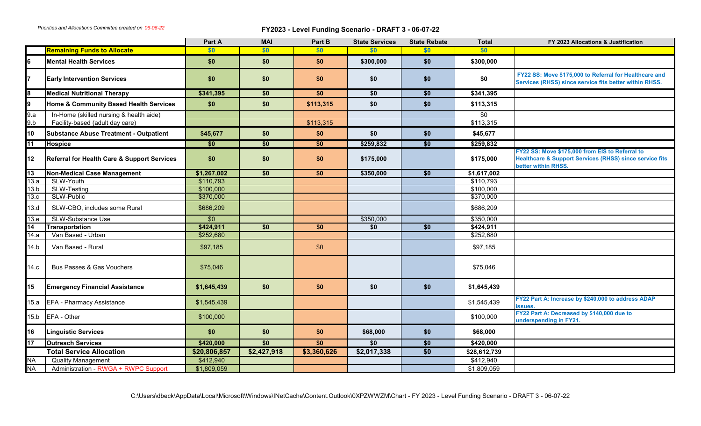*Priorities and Allocations Committee created on 06-06-22*

## **FY2023 - Level Funding Scenario - DRAFT 3 - 06-07-22**

|                 |                                                        | Part A                 | <b>MAI</b>      | Part B          | <b>State Services</b> | <b>State Rebate</b> | <b>Total</b>           | FY 2023 Allocations & Justification                                                                                                          |
|-----------------|--------------------------------------------------------|------------------------|-----------------|-----------------|-----------------------|---------------------|------------------------|----------------------------------------------------------------------------------------------------------------------------------------------|
|                 | <b>Remaining Funds to Allocate</b>                     | \$0                    | \$0             | \$0             | \$0                   | \$0                 | \$0                    |                                                                                                                                              |
| l6              | <b>Mental Health Services</b>                          | \$0                    | \$0             | \$0             | \$300,000             | \$0                 | \$300,000              |                                                                                                                                              |
| I7              | <b>Early Intervention Services</b>                     | \$0                    | \$0             | \$0             | \$0                   | \$0                 | \$0                    | FY22 SS: Move \$175,000 to Referral for Healthcare and<br>Services (RHSS) since service fits better within RHSS.                             |
| $\sqrt{8}$      | <b>Medical Nutritional Therapy</b>                     | \$341,395              | $\overline{50}$ | $\overline{50}$ | $\overline{50}$       | $\overline{50}$     | \$341,395              |                                                                                                                                              |
| l9              | Home & Community Based Health Services                 | \$0                    | \$0             | \$113,315       | \$0                   | \$0                 | \$113,315              |                                                                                                                                              |
| 9.a             | In-Home (skilled nursing & health aide)                |                        |                 |                 |                       |                     | \$0                    |                                                                                                                                              |
| 9.b             | Facility-based (adult day care)                        |                        |                 | \$113,315       |                       |                     | \$113,315              |                                                                                                                                              |
| 10              | <b>Substance Abuse Treatment - Outpatient</b>          | \$45,677               | \$0             | \$0             | \$0                   | \$0                 | \$45,677               |                                                                                                                                              |
| 11              | Hospice                                                | $\overline{50}$        | \$0             | \$0             | \$259,832             | $\overline{50}$     | \$259,832              |                                                                                                                                              |
| 12              | <b>Referral for Health Care &amp; Support Services</b> | \$0                    | \$0             | \$0             | \$175,000             |                     | \$175,000              | FY22 SS: Move \$175,000 from EIS to Referral to<br><b>Healthcare &amp; Support Services (RHSS) since service fits</b><br>better within RHSS. |
| $\overline{13}$ | <b>Non-Medical Case Management</b>                     | \$1,267,002            | \$0             | \$0             | \$350,000             | \$0                 | \$1,617,002            |                                                                                                                                              |
| 13.a            | SLW-Youth                                              | \$110,793              |                 |                 |                       |                     | \$110,793              |                                                                                                                                              |
| 13.b<br>13.c    | SLW-Testing<br>SLW-Public                              | \$100,000<br>\$370,000 |                 |                 |                       |                     | \$100,000<br>\$370,000 |                                                                                                                                              |
|                 |                                                        |                        |                 |                 |                       |                     |                        |                                                                                                                                              |
| 13.d            | SLW-CBO, includes some Rural                           | \$686,209              |                 |                 |                       |                     | \$686,209              |                                                                                                                                              |
| 13.e            | SLW-Substance Use                                      | $\overline{50}$        |                 |                 | \$350,000             |                     | \$350,000              |                                                                                                                                              |
| 14              | <b>Transportation</b>                                  | \$424,911              | $\overline{50}$ | \$0             | \$0                   | \$0                 | \$424,911              |                                                                                                                                              |
| 14.a            | Van Based - Urban                                      | \$252,680              |                 |                 |                       |                     | \$252,680              |                                                                                                                                              |
| 14.b            | Van Based - Rural                                      | \$97,185               |                 | \$0             |                       |                     | \$97,185               |                                                                                                                                              |
| 14.c            | Bus Passes & Gas Vouchers                              | \$75,046               |                 |                 |                       |                     | \$75,046               |                                                                                                                                              |
| 15              | <b>Emergency Financial Assistance</b>                  | \$1,645,439            | \$0             | \$0             | \$0                   | \$0                 | \$1,645,439            |                                                                                                                                              |
| 15.a            | <b>EFA - Pharmacy Assistance</b>                       | \$1,545,439            |                 |                 |                       |                     | \$1,545,439            | FY22 Part A: Increase by \$240,000 to address ADAP<br>ssues.                                                                                 |
| 15.b            | EFA - Other                                            | \$100,000              |                 |                 |                       |                     | \$100,000              | FY22 Part A: Decreased by \$140,000 due to<br>underspending in FY21.                                                                         |
| 16              | <b>Linguistic Services</b>                             | \$0                    | \$0             | \$0             | \$68,000              | \$0                 | \$68,000               |                                                                                                                                              |
| 17              | <b>Outreach Services</b>                               | \$420,000              | $\overline{50}$ | \$0             | \$0                   | $\overline{50}$     | \$420,000              |                                                                                                                                              |
|                 | <b>Total Service Allocation</b>                        | \$20,806,857           | \$2,427,918     | \$3,360,626     | \$2,017,338           | $\overline{50}$     | \$28,612,739           |                                                                                                                                              |
| <b>NA</b>       | <b>Quality Management</b>                              | \$412,940              |                 |                 |                       |                     | \$412,940              |                                                                                                                                              |
| <b>NA</b>       | Administration - RWGA + RWPC Support                   | \$1,809,059            |                 |                 |                       |                     | \$1,809,059            |                                                                                                                                              |